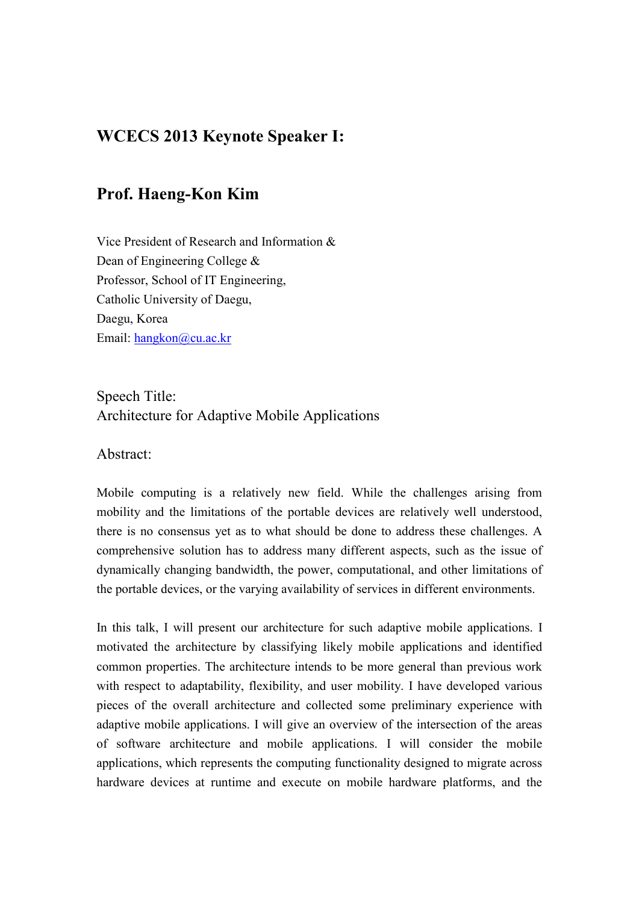# **WCECS 2013 Keynote Speaker I:**

## **Prof. Haeng-Kon Kim**

Vice President of Research and Information & Dean of Engineering College & Professor, School of IT Engineering, Catholic University of Daegu, Daegu, Korea Email: hangkon@cu.ac.kr

## Speech Title: Architecture for Adaptive Mobile Applications

#### Abstract:

Mobile computing is a relatively new field. While the challenges arising from mobility and the limitations of the portable devices are relatively well understood, there is no consensus yet as to what should be done to address these challenges. A comprehensive solution has to address many different aspects, such as the issue of dynamically changing bandwidth, the power, computational, and other limitations of the portable devices, or the varying availability of services in different environments.

In this talk, I will present our architecture for such adaptive mobile applications. I motivated the architecture by classifying likely mobile applications and identified common properties. The architecture intends to be more general than previous work with respect to adaptability, flexibility, and user mobility. I have developed various pieces of the overall architecture and collected some preliminary experience with adaptive mobile applications. I will give an overview of the intersection of the areas of software architecture and mobile applications. I will consider the mobile applications, which represents the computing functionality designed to migrate across hardware devices at runtime and execute on mobile hardware platforms, and the